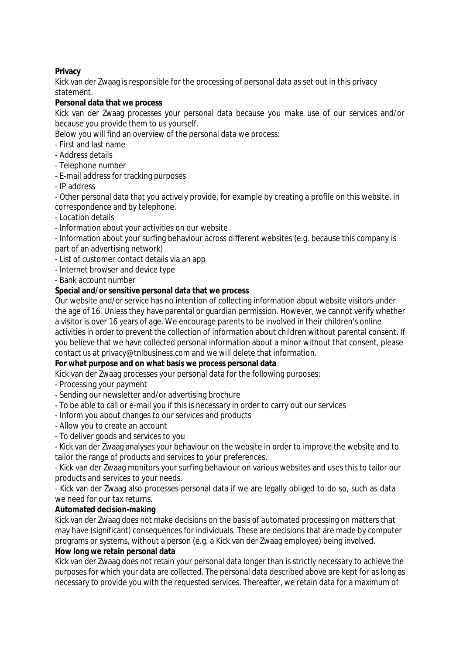#### **Privacy**

Kick van der Zwaag is responsible for the processing of personal data as set out in this privacy statement.

# **Personal data that we process**

Kick van der Zwaag processes your personal data because you make use of our services and/or because you provide them to us yourself.

Below you will find an overview of the personal data we process:

- First and last name
- Address details
- Telephone number
- E-mail address for tracking purposes
- IP address

- Other personal data that you actively provide, for example by creating a profile on this website, in correspondence and by telephone.

- Location details
- Information about your activities on our website

- Information about your surfing behaviour across different websites (e.g. because this company is part of an advertising network)

- List of customer contact details via an app
- Internet browser and device type

- Bank account number

#### **Special and/or sensitive personal data that we process**

Our website and/or service has no intention of collecting information about website visitors under the age of 16. Unless they have parental or guardian permission. However, we cannot verify whether a visitor is over 16 years of age. We encourage parents to be involved in their children's online activities in order to prevent the collection of information about children without parental consent. If you believe that we have collected personal information about a minor without that consent, please contact us at privacy@tnlbusiness.com and we will delete that information.

# **For what purpose and on what basis we process personal data**

Kick van der Zwaag processes your personal data for the following purposes:

- Processing your payment
- Sending our newsletter and/or advertising brochure
- To be able to call or e-mail you if this is necessary in order to carry out our services
- Inform you about changes to our services and products
- Allow you to create an account
- To deliver goods and services to you

- Kick van der Zwaag analyses your behaviour on the website in order to improve the website and to tailor the range of products and services to your preferences.

- Kick van der Zwaag monitors your surfing behaviour on various websites and uses this to tailor our products and services to your needs.

- Kick van der Zwaag also processes personal data if we are legally obliged to do so, such as data we need for our tax returns.

#### **Automated decision-making**

Kick van der Zwaag does not make decisions on the basis of automated processing on matters that may have (significant) consequences for individuals. These are decisions that are made by computer programs or systems, without a person (e.g. a Kick van der Zwaag employee) being involved.

#### **How long we retain personal data**

Kick van der Zwaag does not retain your personal data longer than is strictly necessary to achieve the purposes for which your data are collected. The personal data described above are kept for as long as necessary to provide you with the requested services. Thereafter, we retain data for a maximum of